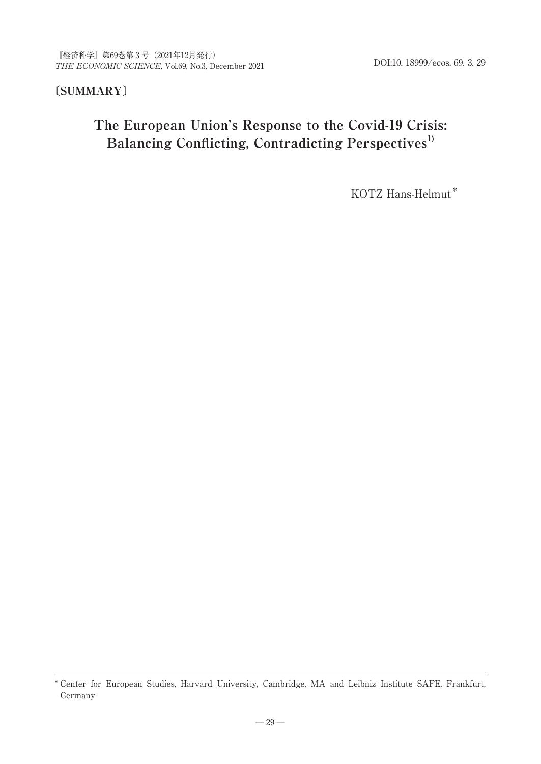## **〔SUMMARY〕**

# **The European Union's Response to the Covid-19 Crisis:** Balancing Conflicting, Contradicting Perspectives<sup>1)</sup>

KOTZ Hans-Helmut\*

<sup>\*</sup> Center for European Studies, Harvard University, Cambridge, MA and Leibniz Institute SAFE, Frankfurt, Germany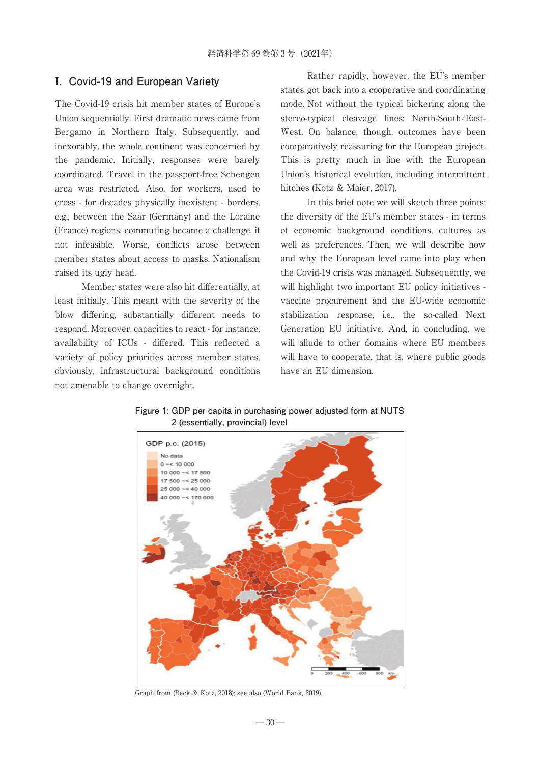### **Ⅰ. Covid-19 and European Variety**

The Covid-19 crisis hit member states of Europe's Union sequentially. First dramatic news came from Bergamo in Northern Italy. Subsequently, and inexorably, the whole continent was concerned by the pandemic. Initially, responses were barely coordinated. Travel in the passport-free Schengen area was restricted. Also, for workers, used to cross - for decades physically inexistent - borders, e.g., between the Saar (Germany) and the Loraine (France) regions, commuting became a challenge, if not infeasible. Worse, conflicts arose between member states about access to masks. Nationalism raised its ugly head.

Member states were also hit differentially, at least initially. This meant with the severity of the blow differing, substantially different needs to respond. Moreover, capacities to react - for instance, availability of ICUs - differed. This reflected a variety of policy priorities across member states, obviously, infrastructural background conditions not amenable to change overnight.

Rather rapidly, however, the EU's member states got back into a cooperative and coordinating mode. Not without the typical bickering along the stereo-typical cleavage lines: North-South/East-West. On balance, though, outcomes have been comparatively reassuring for the European project. This is pretty much in line with the European Union's historical evolution, including intermittent hitches (Kotz & Maier, 2017).

In this brief note we will sketch three points: the diversity of the EU's member states - in terms of economic background conditions, cultures as well as preferences. Then, we will describe how and why the European level came into play when the Covid-19 crisis was managed. Subsequently, we will highlight two important EU policy initiatives vaccine procurement and the EU-wide economic stabilization response, i.e., the so-called Next Generation EU initiative. And, in concluding, we will allude to other domains where EU members will have to cooperate, that is, where public goods have an EU dimension.

**Figure 1: GDP per capita in purchasing power adjusted form at NUTS 2 (essentially, provincial) level**



Graph from (Beck & Kotz, 2018); see also (World Bank, 2019).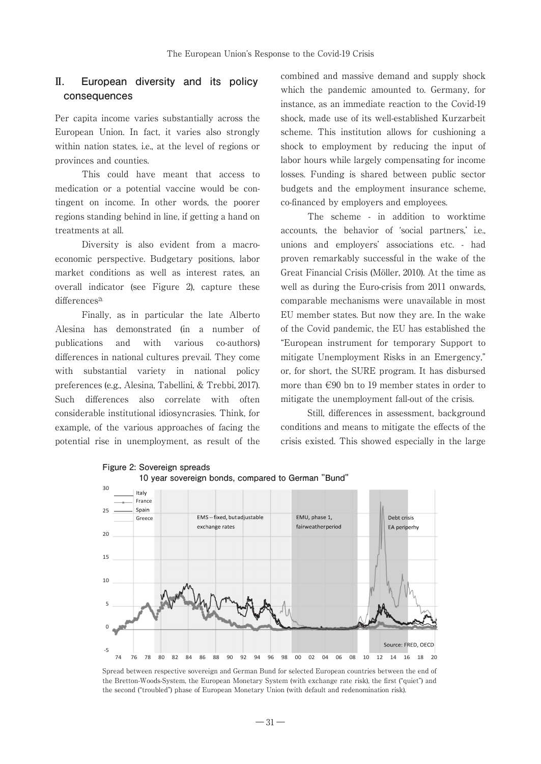## **Ⅱ. European diversity and its policy consequences**

Per capita income varies substantially across the European Union. In fact, it varies also strongly within nation states, i.e., at the level of regions or provinces and counties.

This could have meant that access to medication or a potential vaccine would be contingent on income. In other words, the poorer regions standing behind in line, if getting a hand on treatments at all.

Diversity is also evident from a macroeconomic perspective. Budgetary positions, labor market conditions as well as interest rates, an overall indicator (see Figure 2), capture these differences<sup>2).</sup>

Finally, as in particular the late Alberto Alesina has demonstrated (in a number of publications and with various co-authors) differences in national cultures prevail. They come with substantial variety in national policy preferences (e.g., Alesina, Tabellini, & Trebbi, 2017). Such differences also correlate with often considerable institutional idiosyncrasies. Think, for example, of the various approaches of facing the potential rise in unemployment, as result of the combined and massive demand and supply shock which the pandemic amounted to. Germany, for instance, as an immediate reaction to the Covid-19 shock, made use of its well-established Kurzarbeit scheme. This institution allows for cushioning a shock to employment by reducing the input of labor hours while largely compensating for income losses. Funding is shared between public sector budgets and the employment insurance scheme, co-financed by employers and employees.

The scheme - in addition to worktime accounts, the behavior of 'social partners,' i.e., unions and employers' associations etc. - had proven remarkably successful in the wake of the Great Financial Crisis (Möller, 2010). At the time as well as during the Euro-crisis from 2011 onwards, comparable mechanisms were unavailable in most EU member states. But now they are. In the wake of the Covid pandemic, the EU has established the "European instrument for temporary Support to mitigate Unemployment Risks in an Emergency," or, for short, the SURE program. It has disbursed more than €90 bn to 19 member states in order to mitigate the unemployment fall-out of the crisis.

Still, differences in assessment, background conditions and means to mitigate the effects of the crisis existed. This showed especially in the large



**Figure 2: Sovereign spreads**

Spread between respective sovereign and German Bund for selected European countries between the end of the Bretton-Woods-System, the European Monetary System (with exchange rate risk), the first ("quiet") and the second ("troubled") phase of European Monetary Union (with default and redenomination risk).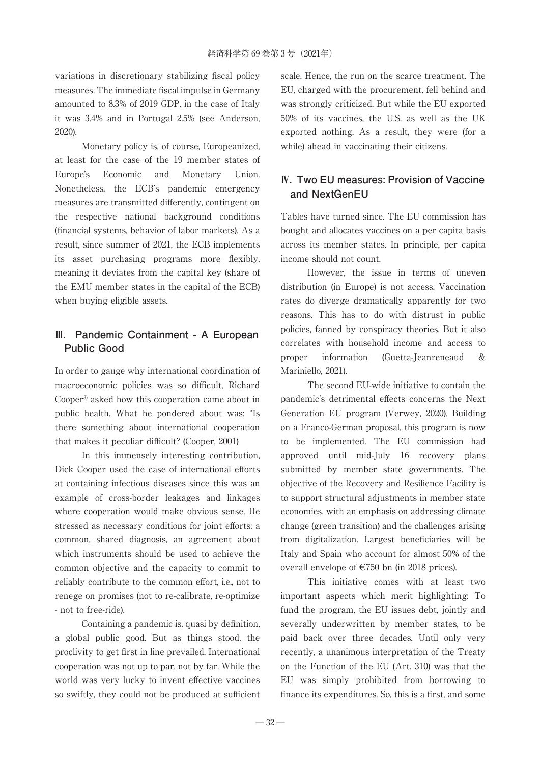variations in discretionary stabilizing fiscal policy measures. The immediate fiscal impulse in Germany amounted to 8.3% of 2019 GDP, in the case of Italy it was 3.4% and in Portugal 2.5% (see Anderson, 2020).

Monetary policy is, of course, Europeanized, at least for the case of the 19 member states of Europe's Economic and Monetary Union. Nonetheless, the ECB's pandemic emergency measures are transmitted differently, contingent on the respective national background conditions (financial systems, behavior of labor markets). As a result, since summer of 2021, the ECB implements its asset purchasing programs more flexibly, meaning it deviates from the capital key (share of the EMU member states in the capital of the ECB) when buying eligible assets.

## **Ⅲ. Pandemic Containment - A European Public Good**

In order to gauge why international coordination of macroeconomic policies was so difficult, Richard Cooper3) asked how this cooperation came about in public health. What he pondered about was: "Is there something about international cooperation that makes it peculiar difficult? (Cooper, 2001)

In this immensely interesting contribution, Dick Cooper used the case of international efforts at containing infectious diseases since this was an example of cross-border leakages and linkages where cooperation would make obvious sense. He stressed as necessary conditions for joint efforts: a common, shared diagnosis, an agreement about which instruments should be used to achieve the common objective and the capacity to commit to reliably contribute to the common effort, i.e., not to renege on promises (not to re-calibrate, re-optimize - not to free-ride).

Containing a pandemic is, quasi by definition, a global public good. But as things stood, the proclivity to get first in line prevailed. International cooperation was not up to par, not by far. While the world was very lucky to invent effective vaccines so swiftly, they could not be produced at sufficient

scale. Hence, the run on the scarce treatment. The EU, charged with the procurement, fell behind and was strongly criticized. But while the EU exported 50% of its vaccines, the U.S. as well as the UK exported nothing. As a result, they were (for a while) ahead in vaccinating their citizens.

## **Ⅳ. Two EU measures: Provision of Vaccine and NextGenEU**

Tables have turned since. The EU commission has bought and allocates vaccines on a per capita basis across its member states. In principle, per capita income should not count.

However, the issue in terms of uneven distribution (in Europe) is not access. Vaccination rates do diverge dramatically apparently for two reasons. This has to do with distrust in public policies, fanned by conspiracy theories. But it also correlates with household income and access to proper information (Guetta-Jeanreneaud & Mariniello, 2021).

The second EU-wide initiative to contain the pandemic's detrimental effects concerns the Next Generation EU program (Verwey, 2020). Building on a Franco-German proposal, this program is now to be implemented. The EU commission had approved until mid-July 16 recovery plans submitted by member state governments. The objective of the Recovery and Resilience Facility is to support structural adjustments in member state economies, with an emphasis on addressing climate change (green transition) and the challenges arising from digitalization. Largest beneficiaries will be Italy and Spain who account for almost 50% of the overall envelope of €750 bn (in 2018 prices).

This initiative comes with at least two important aspects which merit highlighting: To fund the program, the EU issues debt, jointly and severally underwritten by member states, to be paid back over three decades. Until only very recently, a unanimous interpretation of the Treaty on the Function of the EU (Art. 310) was that the EU was simply prohibited from borrowing to finance its expenditures. So, this is a first, and some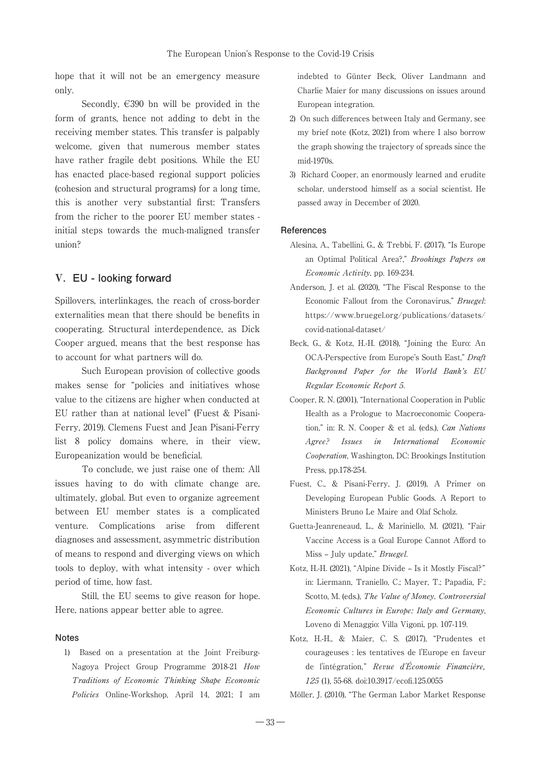hope that it will not be an emergency measure only.

Secondly,  $\in$ 390 bn will be provided in the form of grants, hence not adding to debt in the receiving member states. This transfer is palpably welcome, given that numerous member states have rather fragile debt positions. While the EU has enacted place-based regional support policies (cohesion and structural programs) for a long time, this is another very substantial first: Transfers from the richer to the poorer EU member states initial steps towards the much-maligned transfer union?

#### **Ⅴ. EU - looking forward**

Spillovers, interlinkages, the reach of cross-border externalities mean that there should be benefits in cooperating. Structural interdependence, as Dick Cooper argued, means that the best response has to account for what partners will do.

Such European provision of collective goods makes sense for "policies and initiatives whose value to the citizens are higher when conducted at EU rather than at national level" (Fuest & Pisani-Ferry, 2019). Clemens Fuest and Jean Pisani-Ferry list 8 policy domains where, in their view, Europeanization would be beneficial.

To conclude, we just raise one of them: All issues having to do with climate change are, ultimately, global. But even to organize agreement between EU member states is a complicated venture. Complications arise from different diagnoses and assessment, asymmetric distribution of means to respond and diverging views on which tools to deploy, with what intensity - over which period of time, how fast.

Still, the EU seems to give reason for hope. Here, nations appear better able to agree.

#### **Notes**

1) Based on a presentation at the Joint Freiburg-Nagoya Project Group Programme 2018-21 How Traditions of Economic Thinking Shape Economic Policies Online-Workshop, April 14, 2021; I am indebted to Günter Beck, Oliver Landmann and Charlie Maier for many discussions on issues around European integration.

- 2) On such differences between Italy and Germany, see my brief note (Kotz, 2021) from where I also borrow the graph showing the trajectory of spreads since the mid-1970s.
- 3) Richard Cooper, an enormously learned and erudite scholar, understood himself as a social scientist. He passed away in December of 2020.

#### **References**

- Alesina, A., Tabellini, G., & Trebbi, F. (2017), "Is Europe an Optimal Political Area?," Brookings Papers on Economic Activity, pp. 169-234.
- Anderson, J. et al. (2020), "The Fiscal Response to the Economic Fallout from the Coronavirus," Bruegel: https://www.bruegel.org/publications/datasets/ covid-national-dataset/
- Beck, G., & Kotz, H.-H. (2018), "Joining the Euro: An OCA-Perspective from Europe's South East," Draft Background Paper for the World Bank's EU Regular Economic Report 5.
- Cooper, R. N. (2001), "International Cooperation in Public Health as a Prologue to Macroeconomic Cooperation," in: R. N. Cooper & et al. (eds.), Can Nations Agree? Issues in International Economic Cooperation, Washington, DC: Brookings Institution Press, pp.178-254.
- Fuest, C., & Pisani-Ferry, J. (2019), A Primer on Developing European Public Goods. A Report to Ministers Bruno Le Maire and Olaf Scholz.
- Guetta-Jeanreneaud, L., & Mariniello, M. (2021), "Fair Vaccine Access is a Goal Europe Cannot Afford to Miss – July update," Bruegel.
- Kotz, H.-H. (2021), "Alpine Divide Is it Mostly Fiscal?" in: Liermann, Traniello, C.; Mayer, T.; Papadia, F.; Scotto, M. (eds.), The Value of Money. Controversial Economic Cultures in Europe: Italy and Germany, Loveno di Menaggio: Villa Vigoni, pp. 107-119.
- Kotz, H.-H., & Maier, C. S. (2017), "Prudentes et courageuses : les tentatives de l'Europe en faveur de l'intégration," Revue d'Économie Financière, 125 (1), 55-68. doi:10.3917/ecofi.125.0055
- Möller, J. (2010), "The German Labor Market Response